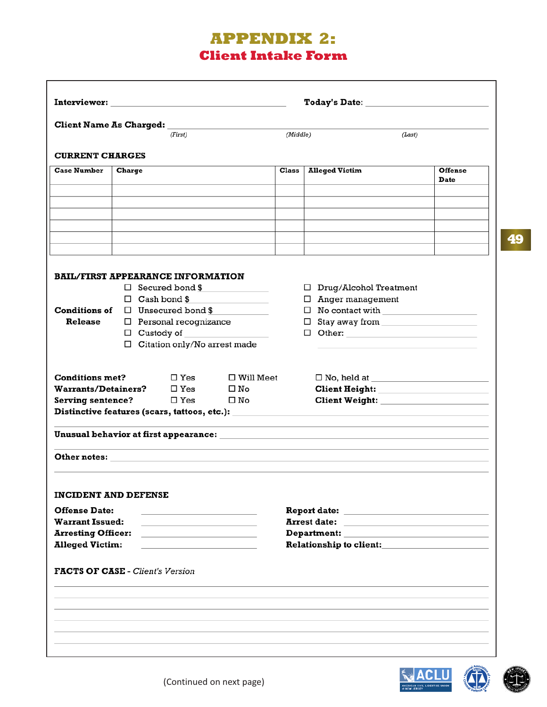## **APPENDIX 2: Client Intake Form**

| Client Name As Charged: Name 1986<br><b>CURRENT CHARGES</b><br><b>Case Number</b> |        | (First)                                                                    |                                                                                                                                                                                                                               |          |                                                                                                                |                |
|-----------------------------------------------------------------------------------|--------|----------------------------------------------------------------------------|-------------------------------------------------------------------------------------------------------------------------------------------------------------------------------------------------------------------------------|----------|----------------------------------------------------------------------------------------------------------------|----------------|
|                                                                                   |        |                                                                            |                                                                                                                                                                                                                               |          |                                                                                                                |                |
|                                                                                   |        |                                                                            |                                                                                                                                                                                                                               | (Middle) | (Last)                                                                                                         |                |
|                                                                                   |        |                                                                            |                                                                                                                                                                                                                               |          |                                                                                                                |                |
|                                                                                   | Charge |                                                                            |                                                                                                                                                                                                                               | Class    | <b>Alleged Victim</b>                                                                                          | <b>Offense</b> |
|                                                                                   |        |                                                                            |                                                                                                                                                                                                                               |          |                                                                                                                | Date           |
|                                                                                   |        |                                                                            |                                                                                                                                                                                                                               |          |                                                                                                                |                |
|                                                                                   |        |                                                                            |                                                                                                                                                                                                                               |          |                                                                                                                |                |
|                                                                                   |        |                                                                            |                                                                                                                                                                                                                               |          |                                                                                                                |                |
|                                                                                   |        |                                                                            |                                                                                                                                                                                                                               |          |                                                                                                                |                |
|                                                                                   |        |                                                                            |                                                                                                                                                                                                                               |          |                                                                                                                |                |
|                                                                                   |        |                                                                            |                                                                                                                                                                                                                               |          |                                                                                                                |                |
|                                                                                   |        |                                                                            |                                                                                                                                                                                                                               |          |                                                                                                                |                |
| <b>BAIL/FIRST APPEARANCE INFORMATION</b>                                          |        |                                                                            |                                                                                                                                                                                                                               |          |                                                                                                                |                |
| $\Box$ Secured bond \$<br>$\Box$ Cash bond \$                                     |        |                                                                            |                                                                                                                                                                                                                               |          | $\Box$ Drug/Alcohol Treatment                                                                                  |                |
| <b>Conditions of</b>                                                              |        |                                                                            |                                                                                                                                                                                                                               |          | $\Box$ Anger management                                                                                        |                |
| Release                                                                           |        | $\Box$ Unsecured bond \$<br>$\Box$ Personal recognizance                   |                                                                                                                                                                                                                               |          | $\Box$ No contact with $\Box$                                                                                  |                |
|                                                                                   |        | $\Box$ Custody of                                                          |                                                                                                                                                                                                                               |          | $\Box$ Other:                                                                                                  |                |
|                                                                                   |        | $\Box$ Citation only/No arrest made                                        |                                                                                                                                                                                                                               |          |                                                                                                                |                |
|                                                                                   |        |                                                                            |                                                                                                                                                                                                                               |          |                                                                                                                |                |
|                                                                                   |        |                                                                            |                                                                                                                                                                                                                               |          |                                                                                                                |                |
| <b>Conditions met?</b>                                                            |        | $\square$ Yes                                                              | $\square$ Will Meet                                                                                                                                                                                                           |          |                                                                                                                |                |
| <b>Warrants/Detainers?</b>                                                        |        | $\square$ Yes                                                              | $\square$ No                                                                                                                                                                                                                  |          | <b>Client Height:</b> The Client Height:                                                                       |                |
| <b>Serving sentence?</b>                                                          |        | $\square$ Yes                                                              | $\square$ No                                                                                                                                                                                                                  |          | <b>Client Weight:</b> New York 1995                                                                            |                |
|                                                                                   |        |                                                                            |                                                                                                                                                                                                                               |          | Distinctive features (scars, tattoos, etc.): ___________________________________                               |                |
|                                                                                   |        |                                                                            |                                                                                                                                                                                                                               |          |                                                                                                                |                |
|                                                                                   |        |                                                                            | Other notes: experience of the state of the state of the state of the state of the state of the state of the state of the state of the state of the state of the state of the state of the state of the state of the state of |          |                                                                                                                |                |
|                                                                                   |        |                                                                            |                                                                                                                                                                                                                               |          |                                                                                                                |                |
| <b>INCIDENT AND DEFENSE</b>                                                       |        |                                                                            |                                                                                                                                                                                                                               |          |                                                                                                                |                |
| <b>Offense Date:</b>                                                              |        | the control of the control of the control of the control of                |                                                                                                                                                                                                                               |          |                                                                                                                |                |
| <b>Warrant Issued:</b>                                                            |        | the control of the control of the control of the control of the control of |                                                                                                                                                                                                                               |          | <b>Arrest date:</b><br>the control of the control of the control of the control of the control of              |                |
| <b>Arresting Officer:</b>                                                         |        |                                                                            |                                                                                                                                                                                                                               |          |                                                                                                                |                |
| <b>Alleged Victim:</b>                                                            |        |                                                                            |                                                                                                                                                                                                                               |          | Relationship to client: Network of the set of the set of the set of the set of the set of the set of the set o |                |
|                                                                                   |        |                                                                            |                                                                                                                                                                                                                               |          |                                                                                                                |                |
| <b>FACTS OF CASE - Client's Version</b>                                           |        |                                                                            |                                                                                                                                                                                                                               |          |                                                                                                                |                |
|                                                                                   |        |                                                                            |                                                                                                                                                                                                                               |          |                                                                                                                |                |
|                                                                                   |        |                                                                            |                                                                                                                                                                                                                               |          |                                                                                                                |                |
|                                                                                   |        |                                                                            |                                                                                                                                                                                                                               |          |                                                                                                                |                |
|                                                                                   |        |                                                                            |                                                                                                                                                                                                                               |          |                                                                                                                |                |
|                                                                                   |        |                                                                            |                                                                                                                                                                                                                               |          |                                                                                                                |                |



**49**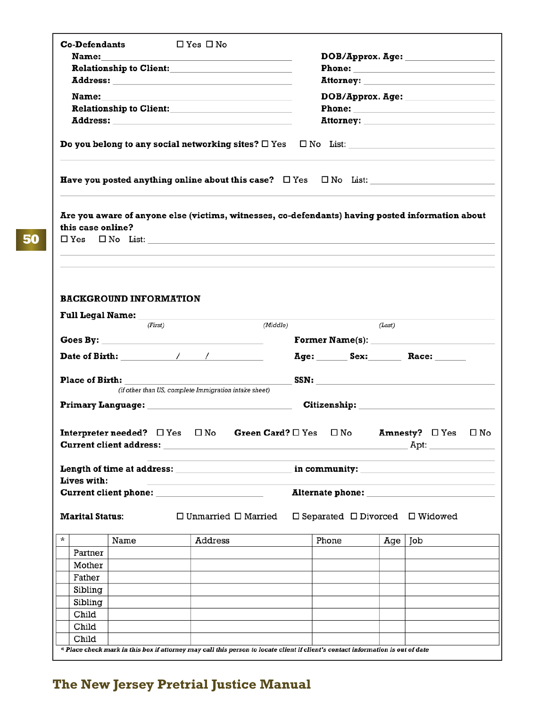| <b>Co-Defendants</b>                                                                                                                                                                                                                                                       | $\Box$ Yes $\Box$ No                                       |                               |                                                                                                                                                                                                                                |                 |                       |      |
|----------------------------------------------------------------------------------------------------------------------------------------------------------------------------------------------------------------------------------------------------------------------------|------------------------------------------------------------|-------------------------------|--------------------------------------------------------------------------------------------------------------------------------------------------------------------------------------------------------------------------------|-----------------|-----------------------|------|
| <b>Name:</b>                                                                                                                                                                                                                                                               | <u> 1989 - Johann Barn, amerikansk politiker (d. 1989)</u> |                               |                                                                                                                                                                                                                                |                 |                       |      |
|                                                                                                                                                                                                                                                                            |                                                            |                               |                                                                                                                                                                                                                                |                 |                       |      |
| Address: Address:                                                                                                                                                                                                                                                          |                                                            |                               |                                                                                                                                                                                                                                |                 |                       |      |
| Name:                                                                                                                                                                                                                                                                      |                                                            |                               | DOB/Approx. Age:                                                                                                                                                                                                               |                 |                       |      |
|                                                                                                                                                                                                                                                                            |                                                            |                               |                                                                                                                                                                                                                                |                 |                       |      |
|                                                                                                                                                                                                                                                                            |                                                            |                               |                                                                                                                                                                                                                                |                 |                       |      |
|                                                                                                                                                                                                                                                                            |                                                            |                               |                                                                                                                                                                                                                                |                 |                       |      |
| <b>Have you posted anything online about this case?</b> $\Box$ Yes $\Box$ No List:                                                                                                                                                                                         |                                                            |                               |                                                                                                                                                                                                                                |                 |                       |      |
| Are you aware of anyone else (victims, witnesses, co-defendants) having posted information about<br>this case online?                                                                                                                                                      |                                                            |                               |                                                                                                                                                                                                                                |                 |                       |      |
| <b>BACKGROUND INFORMATION</b><br>Full Legal Name: Name: Name of the Contract of the Contract of the Contract of the Contract of the Contract of the Contract of the Contract of the Contract of the Contract of the Contract of the Contract of the Contract of<br>(First) |                                                            | (Middle)                      |                                                                                                                                                                                                                                | (Last)          |                       |      |
|                                                                                                                                                                                                                                                                            |                                                            |                               |                                                                                                                                                                                                                                |                 |                       |      |
|                                                                                                                                                                                                                                                                            |                                                            |                               |                                                                                                                                                                                                                                |                 |                       |      |
|                                                                                                                                                                                                                                                                            |                                                            |                               |                                                                                                                                                                                                                                |                 |                       |      |
| Date of Birth: The Mate of Birth:                                                                                                                                                                                                                                          |                                                            |                               | Age: Sex: Race:                                                                                                                                                                                                                |                 |                       |      |
|                                                                                                                                                                                                                                                                            |                                                            |                               |                                                                                                                                                                                                                                |                 |                       |      |
| <b>Place of Birth:</b>                                                                                                                                                                                                                                                     | (if other than US, complete Immigration intake sheet)      |                               |                                                                                                                                                                                                                                |                 |                       |      |
| Primary Language: Name and Separate and Separate and Separate and Separate and Separate and Separate and Separa                                                                                                                                                            |                                                            |                               | Citizenship: The Contract of the Contract of the Contract of the Contract of the Contract of the Contract of the Contract of the Contract of the Contract of the Contract of the Contract of the Contract of the Contract of t |                 |                       |      |
| <b>Interpreter needed?</b> $\Box$ Yes<br><b>Current client address:</b>                                                                                                                                                                                                    | $\square$ No                                               | <b>Green Card?</b> $\Box$ Yes | $\square$ No                                                                                                                                                                                                                   | <b>Amnesty?</b> | $\square$ Yes<br>Apt: | □ No |
| <b>Length of time at address:</b>                                                                                                                                                                                                                                          |                                                            |                               | in community:                                                                                                                                                                                                                  |                 |                       |      |
| Lives with:                                                                                                                                                                                                                                                                |                                                            |                               |                                                                                                                                                                                                                                |                 |                       |      |
|                                                                                                                                                                                                                                                                            |                                                            |                               |                                                                                                                                                                                                                                |                 |                       |      |
| <b>Marital Status:</b>                                                                                                                                                                                                                                                     | $\Box$ Unmarried $\Box$ Married                            |                               | $\Box$ Separated $\Box$ Divorced $\Box$ Widowed                                                                                                                                                                                |                 |                       |      |
| *<br>Name                                                                                                                                                                                                                                                                  | Address                                                    |                               | Phone                                                                                                                                                                                                                          | Age   Job       |                       |      |
| Partner                                                                                                                                                                                                                                                                    |                                                            |                               |                                                                                                                                                                                                                                |                 |                       |      |
| Mother                                                                                                                                                                                                                                                                     |                                                            |                               |                                                                                                                                                                                                                                |                 |                       |      |
| Father                                                                                                                                                                                                                                                                     |                                                            |                               |                                                                                                                                                                                                                                |                 |                       |      |
| Sibling                                                                                                                                                                                                                                                                    |                                                            |                               |                                                                                                                                                                                                                                |                 |                       |      |
| Sibling                                                                                                                                                                                                                                                                    |                                                            |                               |                                                                                                                                                                                                                                |                 |                       |      |
| Child                                                                                                                                                                                                                                                                      |                                                            |                               |                                                                                                                                                                                                                                |                 |                       |      |
| Child<br>Child                                                                                                                                                                                                                                                             |                                                            |                               |                                                                                                                                                                                                                                |                 |                       |      |

## **The New Jersey Pretrial Justice Manual**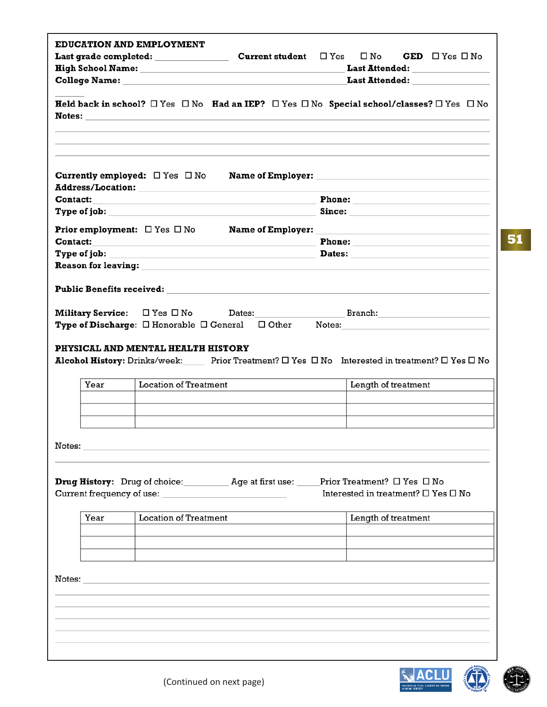| <b>EDUCATION AND EMPLOYMENT</b><br>Last grade completed: ______________                                                                                                                                                        | <b>Current student</b> | <b>GED</b> $\Box$ Yes $\Box$ No<br>$\square$ Yes<br>$\square$ No<br>Last Attended: _________________<br><b>Last Attended:</b>                                                                                                  |
|--------------------------------------------------------------------------------------------------------------------------------------------------------------------------------------------------------------------------------|------------------------|--------------------------------------------------------------------------------------------------------------------------------------------------------------------------------------------------------------------------------|
|                                                                                                                                                                                                                                |                        | Held back in school? $\Box$ Yes $\Box$ No Had an IEP? $\Box$ Yes $\Box$ No Special school/classes? $\Box$ Yes $\Box$ No                                                                                                        |
| <b>Currently employed:</b> $\Box$ Yes $\Box$ No                                                                                                                                                                                |                        | Name of Employer: Name of Employer:                                                                                                                                                                                            |
|                                                                                                                                                                                                                                |                        |                                                                                                                                                                                                                                |
|                                                                                                                                                                                                                                |                        |                                                                                                                                                                                                                                |
| Contact:                                                                                                                                                                                                                       |                        | Phone: New York Street, New York Street, New York Street, New York Street, New York Street, New York Street, New York Street, New York Street, New York Street, New York Street, New York Street, New York Street, New York St |
| Type of job:                                                                                                                                                                                                                   |                        | Dates: The Commission of the Commission of the Commission of the Commission of the Commission of the Commission                                                                                                                |
| <b>Reason for leaving:</b>                                                                                                                                                                                                     |                        |                                                                                                                                                                                                                                |
|                                                                                                                                                                                                                                |                        |                                                                                                                                                                                                                                |
| <b>Military Service:</b> $\Box$ Yes $\Box$ No $\Box$ Dates:<br><b>Type of Discharge:</b> $\Box$ Honorable $\Box$ General $\Box$ Other                                                                                          |                        |                                                                                                                                                                                                                                |
| PHYSICAL AND MENTAL HEALTH HISTORY<br><b>Location of Treatment</b><br>Year                                                                                                                                                     |                        | Alcohol History: Drinks/week: Prior Treatment? □ Yes □ No Interested in treatment? □ Yes □ No<br>Length of treatment                                                                                                           |
| Notes: Notes: And the Commission of the Commission of the Commission of the Commission of the Commission of the Commission of the Commission of the Commission of the Commission of the Commission of the Commission of the Co |                        |                                                                                                                                                                                                                                |
| <b>Drug History:</b> Drug of choice: Age at first use: Prior Treatment? □ Yes □ No                                                                                                                                             |                        | Interested in treatment? $\Box$ Yes $\Box$ No                                                                                                                                                                                  |
| <b>Location of Treatment</b><br>Year                                                                                                                                                                                           |                        | Length of treatment                                                                                                                                                                                                            |
|                                                                                                                                                                                                                                |                        |                                                                                                                                                                                                                                |
|                                                                                                                                                                                                                                |                        |                                                                                                                                                                                                                                |

**51**

ACLU

 $\bigcirc$ 

4